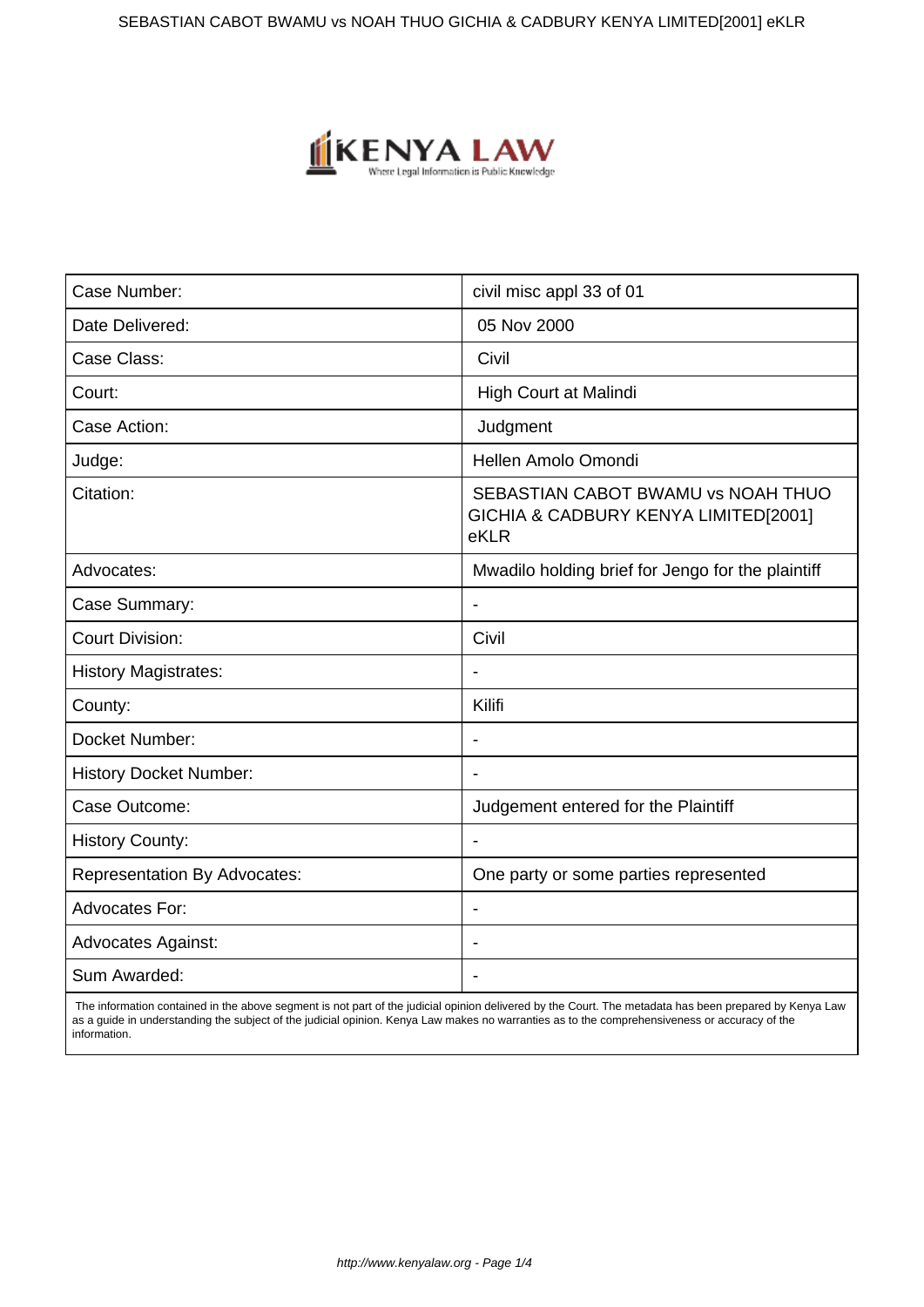SEBASTIAN CABOT BWAMU vs NOAH THUO GICHIA & CADBURY KENYA LIMITED[2001] eKLR



| Case Number:                        | civil misc appl 33 of 01                                                           |
|-------------------------------------|------------------------------------------------------------------------------------|
| Date Delivered:                     | 05 Nov 2000                                                                        |
| Case Class:                         | Civil                                                                              |
| Court:                              | High Court at Malindi                                                              |
| Case Action:                        | Judgment                                                                           |
| Judge:                              | Hellen Amolo Omondi                                                                |
| Citation:                           | SEBASTIAN CABOT BWAMU vs NOAH THUO<br>GICHIA & CADBURY KENYA LIMITED[2001]<br>eKLR |
| Advocates:                          | Mwadilo holding brief for Jengo for the plaintiff                                  |
| Case Summary:                       | $\blacksquare$                                                                     |
| <b>Court Division:</b>              | Civil                                                                              |
| <b>History Magistrates:</b>         |                                                                                    |
| County:                             | Kilifi                                                                             |
| Docket Number:                      | $\blacksquare$                                                                     |
| <b>History Docket Number:</b>       |                                                                                    |
| Case Outcome:                       | Judgement entered for the Plaintiff                                                |
| <b>History County:</b>              |                                                                                    |
| <b>Representation By Advocates:</b> | One party or some parties represented                                              |
| Advocates For:                      |                                                                                    |
| <b>Advocates Against:</b>           |                                                                                    |
| Sum Awarded:                        |                                                                                    |

 The information contained in the above segment is not part of the judicial opinion delivered by the Court. The metadata has been prepared by Kenya Law as a guide in understanding the subject of the judicial opinion. Kenya Law makes no warranties as to the comprehensiveness or accuracy of the information.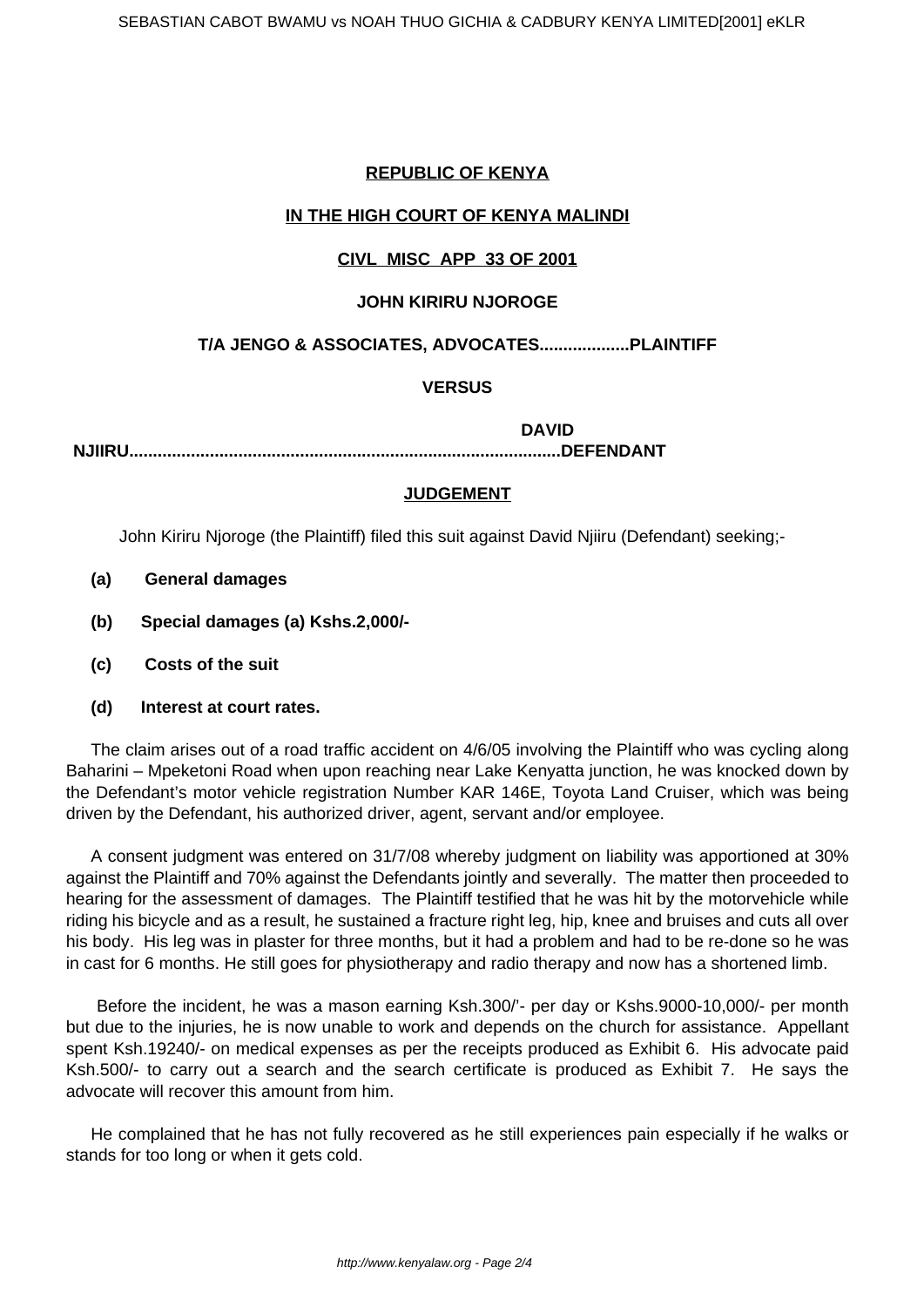## **REPUBLIC OF KENYA**

## **IN THE HIGH COURT OF KENYA MALINDI**

# **CIVL MISC APP 33 OF 2001**

### **JOHN KIRIRU NJOROGE**

# **T/A JENGO & ASSOCIATES, ADVOCATES...................PLAINTIFF**

### **VERSUS**

**DAVID**

**NJIIRU...........................................................................................DEFENDANT**

### **JUDGEMENT**

John Kiriru Njoroge (the Plaintiff) filed this suit against David Njiiru (Defendant) seeking;-

- **(a) General damages**
- **(b) Special damages (a) Kshs.2,000/-**
- **(c) Costs of the suit**
- **(d) Interest at court rates.**

The claim arises out of a road traffic accident on 4/6/05 involving the Plaintiff who was cycling along Baharini – Mpeketoni Road when upon reaching near Lake Kenyatta junction, he was knocked down by the Defendant's motor vehicle registration Number KAR 146E, Toyota Land Cruiser, which was being driven by the Defendant, his authorized driver, agent, servant and/or employee.

A consent judgment was entered on 31/7/08 whereby judgment on liability was apportioned at 30% against the Plaintiff and 70% against the Defendants jointly and severally. The matter then proceeded to hearing for the assessment of damages. The Plaintiff testified that he was hit by the motorvehicle while riding his bicycle and as a result, he sustained a fracture right leg, hip, knee and bruises and cuts all over his body. His leg was in plaster for three months, but it had a problem and had to be re-done so he was in cast for 6 months. He still goes for physiotherapy and radio therapy and now has a shortened limb.

Before the incident, he was a mason earning Ksh.300/'- per day or Kshs.9000-10,000/- per month but due to the injuries, he is now unable to work and depends on the church for assistance. Appellant spent Ksh.19240/- on medical expenses as per the receipts produced as Exhibit 6. His advocate paid Ksh.500/- to carry out a search and the search certificate is produced as Exhibit 7. He says the advocate will recover this amount from him.

He complained that he has not fully recovered as he still experiences pain especially if he walks or stands for too long or when it gets cold.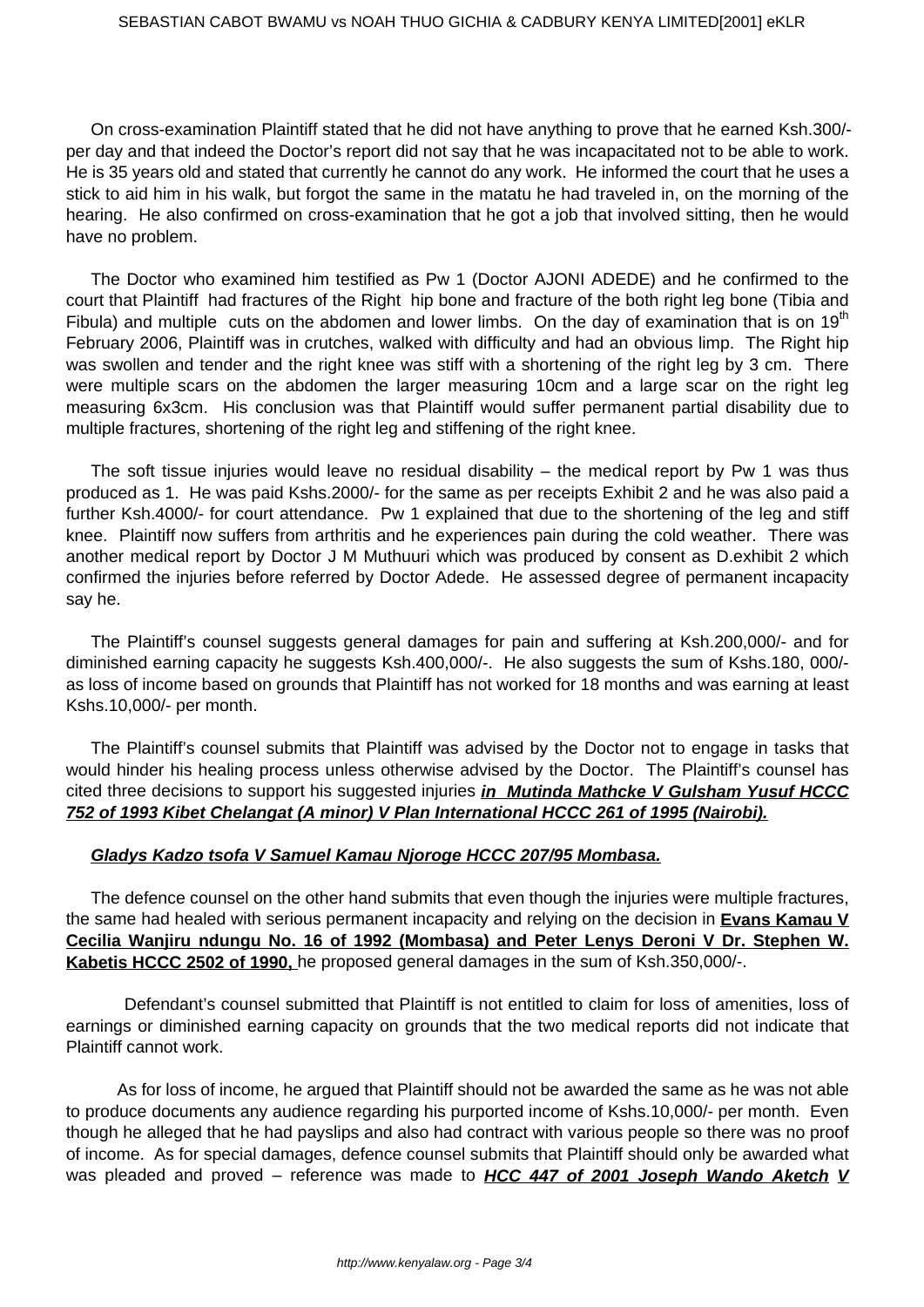On cross-examination Plaintiff stated that he did not have anything to prove that he earned Ksh.300/ per day and that indeed the Doctor's report did not say that he was incapacitated not to be able to work. He is 35 years old and stated that currently he cannot do any work. He informed the court that he uses a stick to aid him in his walk, but forgot the same in the matatu he had traveled in, on the morning of the hearing. He also confirmed on cross-examination that he got a job that involved sitting, then he would have no problem.

The Doctor who examined him testified as Pw 1 (Doctor AJONI ADEDE) and he confirmed to the court that Plaintiff had fractures of the Right hip bone and fracture of the both right leg bone (Tibia and Fibula) and multiple cuts on the abdomen and lower limbs. On the day of examination that is on 19<sup>th</sup> February 2006, Plaintiff was in crutches, walked with difficulty and had an obvious limp. The Right hip was swollen and tender and the right knee was stiff with a shortening of the right leg by 3 cm. There were multiple scars on the abdomen the larger measuring 10cm and a large scar on the right leg measuring 6x3cm. His conclusion was that Plaintiff would suffer permanent partial disability due to multiple fractures, shortening of the right leg and stiffening of the right knee.

The soft tissue injuries would leave no residual disability  $-$  the medical report by Pw 1 was thus produced as 1. He was paid Kshs.2000/- for the same as per receipts Exhibit 2 and he was also paid a further Ksh.4000/- for court attendance. Pw 1 explained that due to the shortening of the leg and stiff knee. Plaintiff now suffers from arthritis and he experiences pain during the cold weather. There was another medical report by Doctor J M Muthuuri which was produced by consent as D.exhibit 2 which confirmed the injuries before referred by Doctor Adede. He assessed degree of permanent incapacity say he.

The Plaintiff's counsel suggests general damages for pain and suffering at Ksh.200,000/- and for diminished earning capacity he suggests Ksh.400,000/-. He also suggests the sum of Kshs.180, 000/ as loss of income based on grounds that Plaintiff has not worked for 18 months and was earning at least Kshs.10,000/- per month.

The Plaintiff's counsel submits that Plaintiff was advised by the Doctor not to engage in tasks that would hinder his healing process unless otherwise advised by the Doctor. The Plaintiff's counsel has cited three decisions to support his suggested injuries **in Mutinda Mathcke V Gulsham Yusuf HCCC 752 of 1993 Kibet Chelangat (A minor) V Plan International HCCC 261 of 1995 (Nairobi).**

### **Gladys Kadzo tsofa V Samuel Kamau Njoroge HCCC 207/95 Mombasa.**

The defence counsel on the other hand submits that even though the injuries were multiple fractures, the same had healed with serious permanent incapacity and relying on the decision in **Evans Kamau V Cecilia Wanjiru ndungu No. 16 of 1992 (Mombasa) and Peter Lenys Deroni V Dr. Stephen W. Kabetis HCCC 2502 of 1990,** he proposed general damages in the sum of Ksh.350,000/-.

 Defendant's counsel submitted that Plaintiff is not entitled to claim for loss of amenities, loss of earnings or diminished earning capacity on grounds that the two medical reports did not indicate that Plaintiff cannot work.

 As for loss of income, he argued that Plaintiff should not be awarded the same as he was not able to produce documents any audience regarding his purported income of Kshs.10,000/- per month. Even though he alleged that he had payslips and also had contract with various people so there was no proof of income. As for special damages, defence counsel submits that Plaintiff should only be awarded what was pleaded and proved – reference was made to **HCC 447 of 2001 Joseph Wando Aketch V**